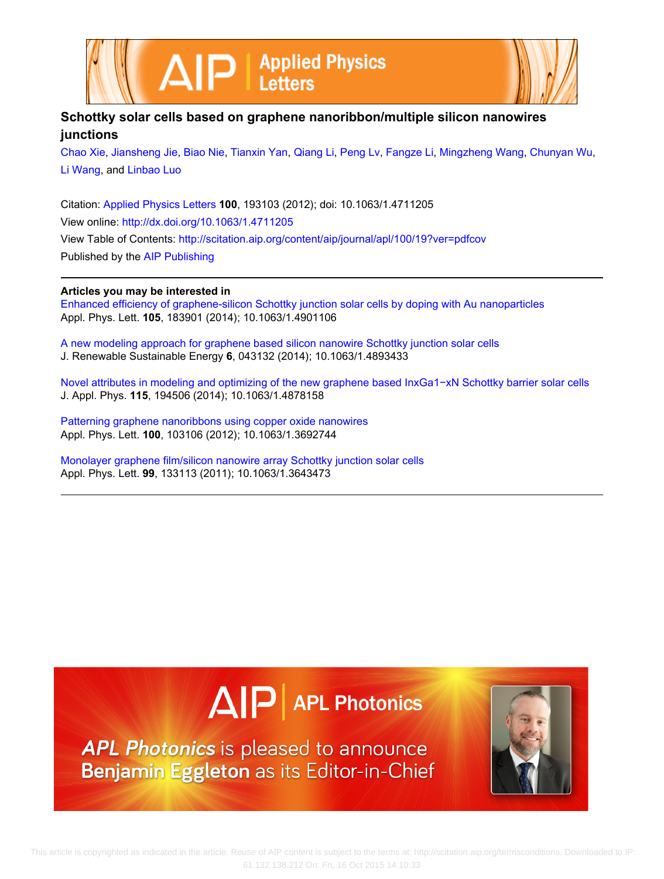



## **Schottky solar cells based on graphene nanoribbon/multiple silicon nanowires junctions**

[Chao Xie](http://scitation.aip.org/search?value1=Chao+Xie&option1=author), [Jiansheng Jie,](http://scitation.aip.org/search?value1=Jiansheng+Jie&option1=author) [Biao Nie](http://scitation.aip.org/search?value1=Biao+Nie&option1=author), [Tianxin Yan](http://scitation.aip.org/search?value1=Tianxin+Yan&option1=author), [Qiang Li](http://scitation.aip.org/search?value1=Qiang+Li&option1=author), [Peng Lv](http://scitation.aip.org/search?value1=Peng+Lv&option1=author), [Fangze Li,](http://scitation.aip.org/search?value1=Fangze+Li&option1=author) [Mingzheng Wang](http://scitation.aip.org/search?value1=Mingzheng+Wang&option1=author), [Chunyan Wu](http://scitation.aip.org/search?value1=Chunyan+Wu&option1=author), [Li Wang,](http://scitation.aip.org/search?value1=Li+Wang&option1=author) and [Linbao Luo](http://scitation.aip.org/search?value1=Linbao+Luo&option1=author)

Citation: [Applied Physics Letters](http://scitation.aip.org/content/aip/journal/apl?ver=pdfcov) **100**, 193103 (2012); doi: 10.1063/1.4711205 View online: <http://dx.doi.org/10.1063/1.4711205> View Table of Contents: <http://scitation.aip.org/content/aip/journal/apl/100/19?ver=pdfcov> Published by the [AIP Publishing](http://scitation.aip.org/content/aip?ver=pdfcov)

## **Articles you may be interested in**

[Enhanced efficiency of graphene-silicon Schottky junction solar cells by doping with Au nanoparticles](http://scitation.aip.org/content/aip/journal/apl/105/18/10.1063/1.4901106?ver=pdfcov) Appl. Phys. Lett. **105**, 183901 (2014); 10.1063/1.4901106

[A new modeling approach for graphene based silicon nanowire Schottky junction solar cells](http://scitation.aip.org/content/aip/journal/jrse/6/4/10.1063/1.4893433?ver=pdfcov) J. Renewable Sustainable Energy **6**, 043132 (2014); 10.1063/1.4893433

[Novel attributes in modeling and optimizing of the new graphene based InxGa1−xN Schottky barrier solar cells](http://scitation.aip.org/content/aip/journal/jap/115/19/10.1063/1.4878158?ver=pdfcov) J. Appl. Phys. **115**, 194506 (2014); 10.1063/1.4878158

[Patterning graphene nanoribbons using copper oxide nanowires](http://scitation.aip.org/content/aip/journal/apl/100/10/10.1063/1.3692744?ver=pdfcov) Appl. Phys. Lett. **100**, 103106 (2012); 10.1063/1.3692744

[Monolayer graphene film/silicon nanowire array Schottky junction solar cells](http://scitation.aip.org/content/aip/journal/apl/99/13/10.1063/1.3643473?ver=pdfcov) Appl. Phys. Lett. **99**, 133113 (2011); 10.1063/1.3643473

## $\Delta$  $\mathsf{P}\vert$  APL Photonics

APL Photonics is pleased to announce Benjamin Eggleton as its Editor-in-Chief

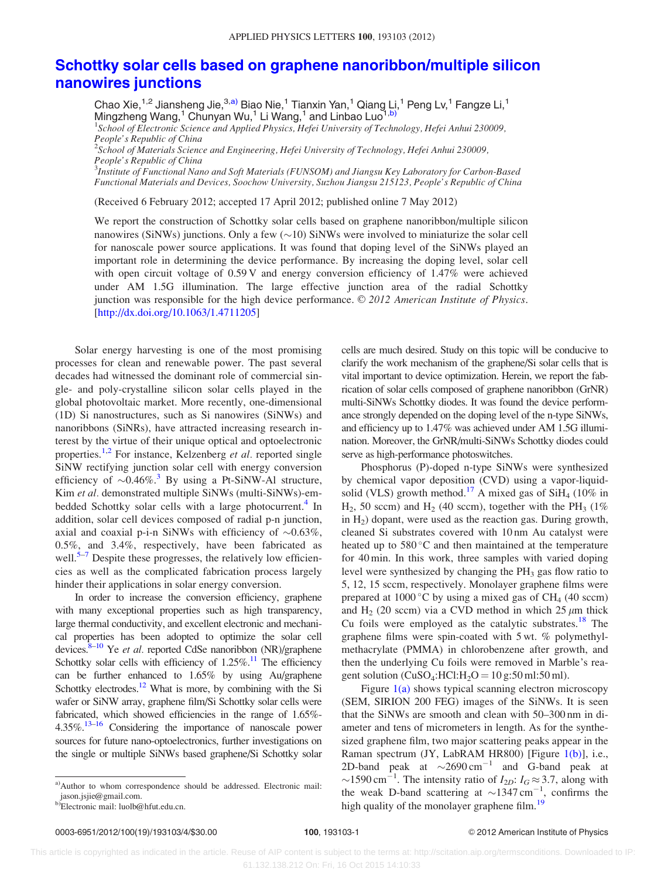## [Schottky solar cells based on graphene nanoribbon/multiple silicon](http://dx.doi.org/10.1063/1.4711205) [nanowires junctions](http://dx.doi.org/10.1063/1.4711205)

Chao Xie,  $1,2$  Jiansheng Jie,  $3, a$ ) Biao Nie,  $1$  Tianxin Yan,  $1$  Qiang Li,  $1$  Peng Lv,  $1$  Fangze Li,  $1$ Mingzheng Wang,<sup>1</sup> Chunyan Wu,<sup>1</sup> Li Wang,<sup>1</sup> and Linbao Luo<sup>1,b)</sup>

<sup>1</sup>School of Electronic Science and Applied Physics, Hefei University of Technology, Hefei Anhui 230009, People's Republic of China

 $^2$ Sc $\dot{h}$ ool of  $\dot{M}$ aterials Science and Engineering, Hefei University of Technology, Hefei Anhui 230009, People's Republic of China

 $^3$ Institute of Functional Nano and Soft Materials (FUNSOM) and Jiangsu Key Laboratory for Carbon-Based Functional Materials and Devices, Soochow University, Suzhou Jiangsu 215123, People's Republic of China

(Received 6 February 2012; accepted 17 April 2012; published online 7 May 2012)

We report the construction of Schottky solar cells based on graphene nanoribbon/multiple silicon nanowires (SiNWs) junctions. Only a few  $(\sim 10)$  SiNWs were involved to miniaturize the solar cell for nanoscale power source applications. It was found that doping level of the SiNWs played an important role in determining the device performance. By increasing the doping level, solar cell with open circuit voltage of 0.59 V and energy conversion efficiency of 1.47% were achieved under AM 1.5G illumination. The large effective junction area of the radial Schottky junction was responsible for the high device performance. © 2012 American Institute of Physics. [\[http://dx.doi.org/10.1063/1.4711205](http://dx.doi.org/10.1063/1.4711205)]

Solar energy harvesting is one of the most promising processes for clean and renewable power. The past several decades had witnessed the dominant role of commercial single- and poly-crystalline silicon solar cells played in the global photovoltaic market. More recently, one-dimensional (1D) Si nanostructures, such as Si nanowires (SiNWs) and nanoribbons (SiNRs), have attracted increasing research interest by the virtue of their unique optical and optoelectronic properties.<sup>[1,2](#page-3-0)</sup> For instance, Kelzenberg *et al.* reported single SiNW rectifying junction solar cell with energy conversion efficiency of  $\sim 0.46\%$ .<sup>[3](#page-3-0)</sup> By using a Pt-SiNW-Al structure, Kim et al. demonstrated multiple SiNWs (multi-SiNWs)-em-bedded Schottky solar cells with a large photocurrent.<sup>[4](#page-3-0)</sup> In addition, solar cell devices composed of radial p-n junction, axial and coaxial p-i-n SiNWs with efficiency of  $\sim 0.63\%$ , 0.5%, and 3.4%, respectively, have been fabricated as well. $5-7$  Despite these progresses, the relatively low efficiencies as well as the complicated fabrication process largely hinder their applications in solar energy conversion.

In order to increase the conversion efficiency, graphene with many exceptional properties such as high transparency, large thermal conductivity, and excellent electronic and mechanical properties has been adopted to optimize the solar cell devices.  $8-10$  Ye *et al.* reported CdSe nanoribbon (NR)/graphene Schottky solar cells with efficiency of  $1.25\%$ .<sup>11</sup> The efficiency can be further enhanced to 1.65% by using Au/graphene Schottky electrodes. $12$  What is more, by combining with the Si wafer or SiNW array, graphene film/Si Schottky solar cells were fabricated, which showed efficiencies in the range of 1.65%- $4.35\%$ .<sup>[13](#page-3-0)[–16](#page-4-0)</sup> Considering the importance of nanoscale power sources for future nano-optoelectronics, further investigations on the single or multiple SiNWs based graphene/Si Schottky solar

cells are much desired. Study on this topic will be conducive to clarify the work mechanism of the graphene/Si solar cells that is vital important to device optimization. Herein, we report the fabrication of solar cells composed of graphene nanoribbon (GrNR) multi-SiNWs Schottky diodes. It was found the device performance strongly depended on the doping level of the n-type SiNWs, and efficiency up to 1.47% was achieved under AM 1.5G illumination. Moreover, the GrNR/multi-SiNWs Schottky diodes could serve as high-performance photoswitches.

Phosphorus (P)-doped n-type SiNWs were synthesized by chemical vapor deposition (CVD) using a vapor-liquid-solid (VLS) growth method.<sup>[17](#page-4-0)</sup> A mixed gas of  $SiH<sub>4</sub>$  (10% in  $H_2$ , 50 sccm) and  $H_2$  (40 sccm), together with the PH<sub>3</sub> (1%) in  $H_2$ ) dopant, were used as the reaction gas. During growth, cleaned Si substrates covered with 10 nm Au catalyst were heated up to  $580^{\circ}$ C and then maintained at the temperature for 40 min. In this work, three samples with varied doping level were synthesized by changing the  $PH_3$  gas flow ratio to 5, 12, 15 sccm, respectively. Monolayer graphene films were prepared at 1000 °C by using a mixed gas of CH<sub>4</sub> (40 sccm) and H<sub>2</sub> (20 sccm) via a CVD method in which  $25 \mu m$  thick Cu foils were employed as the catalytic substrates.<sup>[18](#page-4-0)</sup> The graphene films were spin-coated with 5 wt. % polymethylmethacrylate (PMMA) in chlorobenzene after growth, and then the underlying Cu foils were removed in Marble's reagent solution (CuSO<sub>4</sub>:HCl:H<sub>2</sub>O = 10 g:50 ml:50 ml).

Figure  $1(a)$  shows typical scanning electron microscopy (SEM, SIRION 200 FEG) images of the SiNWs. It is seen that the SiNWs are smooth and clean with 50–300 nm in diameter and tens of micrometers in length. As for the synthesized graphene film, two major scattering peaks appear in the Raman spectrum (JY, LabRAM HR800) [Figure [1\(b\)\]](#page-2-0), i.e., 2D-band peak at  $\sim$ 2690 cm<sup>-1</sup> and G-band peak at ~1590 cm<sup>-1</sup>. The intensity ratio of  $I_{2D}$ :  $I_G \approx 3.7$ , along with the weak D-band scattering at  $\sim$ 1347 cm<sup>-1</sup>, confirms the high quality of the monolayer graphene film.<sup>[19](#page-4-0)</sup>

a)Author to whom correspondence should be addressed. Electronic mail: jason.jsjie@gmail.com.

b)Electronic mail: luolb@hfut.edu.cn.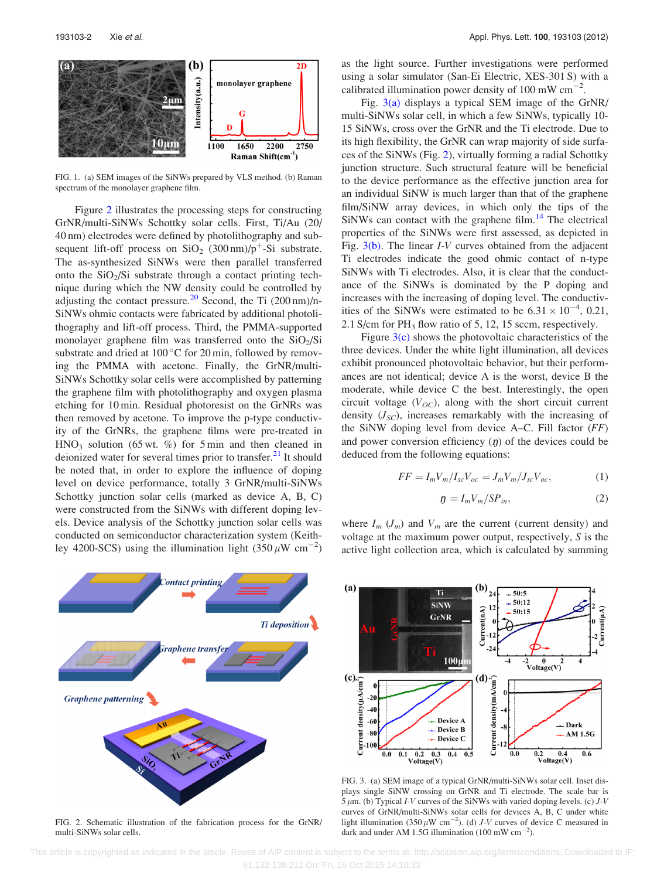<span id="page-2-0"></span>

FIG. 1. (a) SEM images of the SiNWs prepared by VLS method. (b) Raman spectrum of the monolayer graphene film.

Figure 2 illustrates the processing steps for constructing GrNR/multi-SiNWs Schottky solar cells. First, Ti/Au (20/ 40 nm) electrodes were defined by photolithography and subsequent lift-off process on  $SiO_2$  (300 nm)/p<sup>+</sup>-Si substrate. The as-synthesized SiNWs were then parallel transferred onto the  $SiO<sub>2</sub>/Si$  substrate through a contact printing technique during which the NW density could be controlled by adjusting the contact pressure.<sup>[20](#page-4-0)</sup> Second, the Ti  $(200 \text{ nm})$ /n-SiNWs ohmic contacts were fabricated by additional photolithography and lift-off process. Third, the PMMA-supported monolayer graphene film was transferred onto the  $SiO<sub>2</sub>/Si$ substrate and dried at  $100\,^{\circ}\text{C}$  for 20 min, followed by removing the PMMA with acetone. Finally, the GrNR/multi-SiNWs Schottky solar cells were accomplished by patterning the graphene film with photolithography and oxygen plasma etching for 10 min. Residual photoresist on the GrNRs was then removed by acetone. To improve the p-type conductivity of the GrNRs, the graphene films were pre-treated in  $HNO<sub>3</sub>$  solution (65 wt. %) for 5 min and then cleaned in deionized water for several times prior to transfer.<sup>[21](#page-4-0)</sup> It should be noted that, in order to explore the influence of doping level on device performance, totally 3 GrNR/multi-SiNWs Schottky junction solar cells (marked as device A, B, C) were constructed from the SiNWs with different doping levels. Device analysis of the Schottky junction solar cells was conducted on semiconductor characterization system (Keithley 4200-SCS) using the illumination light  $(350 \,\mu\text{W cm}^{-2})$ 



FIG. 2. Schematic illustration of the fabrication process for the GrNR/ multi-SiNWs solar cells.

as the light source. Further investigations were performed using a solar simulator (San-Ei Electric, XES-301 S) with a calibrated illumination power density of 100 mW  $cm^{-2}$ .

Fig.  $3(a)$  displays a typical SEM image of the GrNR/ multi-SiNWs solar cell, in which a few SiNWs, typically 10- 15 SiNWs, cross over the GrNR and the Ti electrode. Due to its high flexibility, the GrNR can wrap majority of side surfaces of the SiNWs (Fig. 2), virtually forming a radial Schottky junction structure. Such structural feature will be beneficial to the device performance as the effective junction area for an individual SiNW is much larger than that of the graphene film/SiNW array devices, in which only the tips of the  $SiNWs$  can contact with the graphene film.<sup>[14](#page-3-0)</sup> The electrical properties of the SiNWs were first assessed, as depicted in Fig. 3(b). The linear I-V curves obtained from the adjacent Ti electrodes indicate the good ohmic contact of n-type SiNWs with Ti electrodes. Also, it is clear that the conductance of the SiNWs is dominated by the P doping and increases with the increasing of doping level. The conductivities of the SiNWs were estimated to be  $6.31 \times 10^{-4}$ , 0.21, 2.1 S/cm for  $PH_3$  flow ratio of 5, 12, 15 sccm, respectively.

Figure  $3(c)$  shows the photovoltaic characteristics of the three devices. Under the white light illumination, all devices exhibit pronounced photovoltaic behavior, but their performances are not identical; device A is the worst, device B the moderate, while device C the best. Interestingly, the open circuit voltage  $(V_{OC})$ , along with the short circuit current density  $(J_{SC})$ , increases remarkably with the increasing of the SiNW doping level from device A–C. Fill factor  $(FF)$ and power conversion efficiency  $(p)$  of the devices could be deduced from the following equations:

$$
FF = I_m V_m / I_{sc} V_{oc} = J_m V_m / J_{sc} V_{oc},\tag{1}
$$

$$
g = I_m V_m / S P_{in},\tag{2}
$$

where  $I_m$   $(J_m)$  and  $V_m$  are the current (current density) and voltage at the maximum power output, respectively, S is the active light collection area, which is calculated by summing



FIG. 3. (a) SEM image of a typical GrNR/multi-SiNWs solar cell. Inset displays single SiNW crossing on GrNR and Ti electrode. The scale bar is  $5 \mu$ m. (b) Typical *I-V* curves of the SiNWs with varied doping levels. (c) *J-V* curves of GrNR/multi-SiNWs solar cells for devices A, B, C under white light illumination (350  $\mu$ W cm<sup>-2</sup>). (d) *J*-*V* curves of device C measured in dark and under AM 1.5G illumination (100 mW  $\text{cm}^{-2}$ ).

 This article is copyrighted as indicated in the article. Reuse of AIP content is subject to the terms at: http://scitation.aip.org/termsconditions. Downloaded to IP: 61.132.138.212 On: Fri, 16 Oct 2015 14:10:33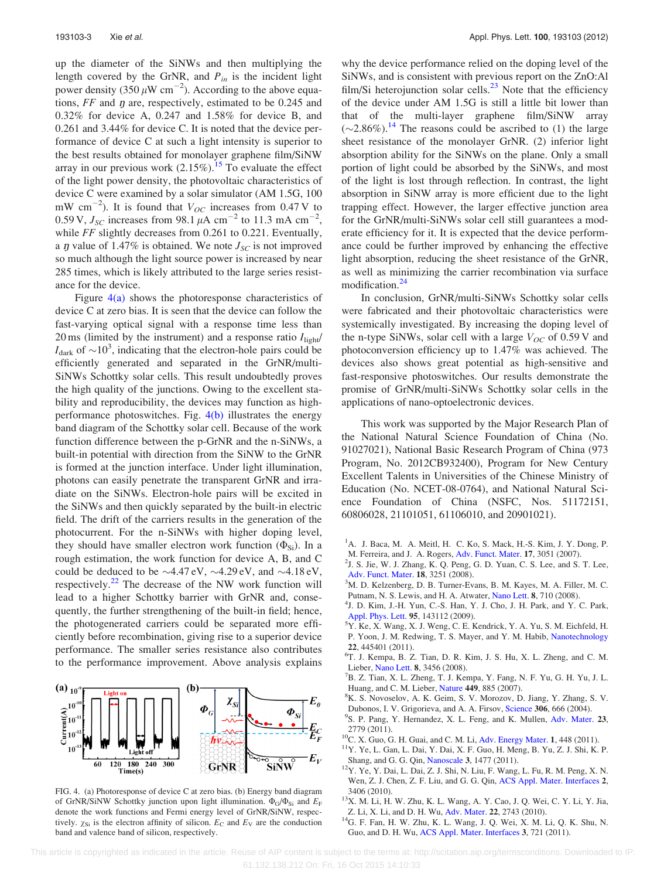<span id="page-3-0"></span>up the diameter of the SiNWs and then multiplying the length covered by the GrNR, and  $P_{in}$  is the incident light power density (350  $\mu$ W cm<sup>-2</sup>). According to the above equations,  $FF$  and  $\eta$  are, respectively, estimated to be 0.245 and 0.32% for device A, 0.247 and 1.58% for device B, and 0.261 and 3.44% for device C. It is noted that the device performance of device C at such a light intensity is superior to the best results obtained for monolayer graphene film/SiNW array in our previous work  $(2.15\%)$  $(2.15\%)$  $(2.15\%)$ .<sup>15</sup> To evaluate the effect of the light power density, the photovoltaic characteristics of device C were examined by a solar simulator (AM 1.5G, 100 mW cm<sup>-2</sup>). It is found that  $V_{OC}$  increases from 0.47 V to 0.59 V,  $J_{SC}$  increases from 98.1  $\mu$ A cm<sup>-2</sup> to 11.3 mA cm<sup>-2</sup>, while FF slightly decreases from 0.261 to 0.221. Eventually, a  $\eta$  value of 1.47% is obtained. We note  $J_{SC}$  is not improved so much although the light source power is increased by near 285 times, which is likely attributed to the large series resistance for the device.

Figure  $4(a)$  shows the photoresponse characteristics of device C at zero bias. It is seen that the device can follow the fast-varying optical signal with a response time less than 20 ms (limited by the instrument) and a response ratio  $I_{\text{light}}/$  $I_{\text{dark}}$  of  $\sim$ 10<sup>3</sup>, indicating that the electron-hole pairs could be efficiently generated and separated in the GrNR/multi-SiNWs Schottky solar cells. This result undoubtedly proves the high quality of the junctions. Owing to the excellent stability and reproducibility, the devices may function as highperformance photoswitches. Fig. 4(b) illustrates the energy band diagram of the Schottky solar cell. Because of the work function difference between the p-GrNR and the n-SiNWs, a built-in potential with direction from the SiNW to the GrNR is formed at the junction interface. Under light illumination, photons can easily penetrate the transparent GrNR and irradiate on the SiNWs. Electron-hole pairs will be excited in the SiNWs and then quickly separated by the built-in electric field. The drift of the carriers results in the generation of the photocurrent. For the n-SiNWs with higher doping level, they should have smaller electron work function  $(\Phi_{Si})$ . In a rough estimation, the work function for device A, B, and C could be deduced to be  $\sim$ 4.47 eV,  $\sim$ 4.29 eV, and  $\sim$ 4.18 eV, respectively. $22$  The decrease of the NW work function will lead to a higher Schottky barrier with GrNR and, consequently, the further strengthening of the built-in field; hence, the photogenerated carriers could be separated more efficiently before recombination, giving rise to a superior device performance. The smaller series resistance also contributes to the performance improvement. Above analysis explains



FIG. 4. (a) Photoresponse of device C at zero bias. (b) Energy band diagram of GrNR/SiNW Schottky junction upon light illumination.  $\Phi_G/\Phi_{Si}$  and  $E_F$ denote the work functions and Fermi energy level of GrNR/SiNW, respectively.  $\chi_{Si}$  is the electron affinity of silicon.  $E_C$  and  $E_V$  are the conduction band and valence band of silicon, respectively.

why the device performance relied on the doping level of the SiNWs, and is consistent with previous report on the ZnO:Al film/Si heterojunction solar cells. $^{23}$  $^{23}$  $^{23}$  Note that the efficiency of the device under AM 1.5G is still a little bit lower than that of the multi-layer graphene film/SiNW array  $(\sim 2.86\%).$ <sup>14</sup> The reasons could be ascribed to (1) the large sheet resistance of the monolayer GrNR. (2) inferior light absorption ability for the SiNWs on the plane. Only a small portion of light could be absorbed by the SiNWs, and most of the light is lost through reflection. In contrast, the light absorption in SiNW array is more efficient due to the light trapping effect. However, the larger effective junction area for the GrNR/multi-SiNWs solar cell still guarantees a moderate efficiency for it. It is expected that the device performance could be further improved by enhancing the effective light absorption, reducing the sheet resistance of the GrNR, as well as minimizing the carrier recombination via surface modification.<sup>24</sup>

In conclusion, GrNR/multi-SiNWs Schottky solar cells were fabricated and their photovoltaic characteristics were systemically investigated. By increasing the doping level of the n-type SiNWs, solar cell with a large  $V_{OC}$  of 0.59 V and photoconversion efficiency up to 1.47% was achieved. The devices also shows great potential as high-sensitive and fast-responsive photoswitches. Our results demonstrate the promise of GrNR/multi-SiNWs Schottky solar cells in the applications of nano-optoelectronic devices.

This work was supported by the Major Research Plan of the National Natural Science Foundation of China (No. 91027021), National Basic Research Program of China (973 Program, No. 2012CB932400), Program for New Century Excellent Talents in Universities of the Chinese Ministry of Education (No. NCET-08-0764), and National Natural Science Foundation of China (NSFC, Nos. 51172151, 60806028, 21101051, 61106010, and 20901021).

- <sup>1</sup>A. J. Baca, M. A. Meitl, H. C. Ko, S. Mack, H.-S. Kim, J. Y. Dong, P. M. Ferreira, and J. A. Rogers, [Adv. Funct. Mater.](http://dx.doi.org/) 17, 3051 (2007).<br><sup>2</sup>J. S. Jie, W. J. Zhang, K. Q. Peng, G. D. Yuan, C. S. Lee, and S. T. Lee,
- [Adv. Funct. Mater.](http://dx.doi.org/10.1002/adfm.200800399) 18, 3251 (2008).
- <sup>3</sup>M. D. Kelzenberg, D. B. Turner-Evans, B. M. Kayes, M. A. Filler, M. C. Putnam, N. S. Lewis, and H. A. Atwater, [Nano Lett.](http://dx.doi.org/10.1021/nl072622p) <sup>8</sup>, 710 (2008). <sup>4</sup>
- <sup>4</sup>J. D. Kim, J.-H. Yun, C.-S. Han, Y. J. Cho, J. H. Park, and Y. C. Park, [Appl. Phys. Lett.](http://dx.doi.org/10.1063/1.3245310) 95, 143112 (2009).
- Y. Ke, X. Wang, X. J. Weng, C. E. Kendrick, Y. A. Yu, S. M. Eichfeld, H. P. Yoon, J. M. Redwing, T. S. Mayer, and Y. M. Habib, [Nanotechnology](http://dx.doi.org/10.1088/0957-4484/22/44/445401) <sup>22</sup>, 445401 (2011). <sup>6</sup>
- T. J. Kempa, B. Z. Tian, D. R. Kim, J. S. Hu, X. L. Zheng, and C. M. Lieber, [Nano Lett.](http://dx.doi.org/10.1021/nl8023438) 8, 3456 (2008).
- $B^7$ B. Z. Tian, X. L. Zheng, T. J. Kempa, Y. Fang, N. F. Yu, G. H. Yu, J. L. Huang, and C. M. Lieber, [Nature](http://dx.doi.org/10.1038/nature06181) 449, 885 (2007).
- <sup>8</sup>K. S. Novoselov, A. K. Geim, S. V. Morozov, D. Jiang, Y. Zhang, S. V. Dubonos, I. V. Grigorieva, and A. A. Firsov, [Science](http://dx.doi.org/10.1126/science.1102896) 306, 666 (2004).
- <sup>9</sup>S. P. Pang, Y. Hernandez, X. L. Feng, and K. Mullen, [Adv. Mater.](http://dx.doi.org/10.1002/adma.201100304) 23, 2779 (2011). <sup>10</sup>C. X. Guo, G. H. Guai, and C. M. Li, [Adv. Energy Mater.](http://dx.doi.org/10.1002/aenm.201100119) **1**, 448 (2011). <sup>11</sup>Y. Ye, L. Gan, L. Dai, Y. Dai, X. F. Guo, H. Meng, B. Yu, Z. J. Shi, K. P.
- 
- 
- Shang, and G. G. Qin, [Nanoscale](http://dx.doi.org/10.1039/c0nr00999g) 3, 1477 (2011). <sup>12</sup>Y. Ye, Y. Dai, L. Dai, Z. J. Shi, N. Liu, F. Wang, L. Fu, R. M. Peng, X. N. Wen, Z. J. Chen, Z. F. Liu, and G. G. Qin, [ACS Appl. Mater. Interfaces](http://dx.doi.org/10.1021/am1007672) 2,
- 3406 (2010).<br><sup>13</sup>X. M. Li, H. W. Zhu, K. L. Wang, A. Y. Cao, J. Q. Wei, C. Y. Li, Y. Jia, Z. Li, X. Li, and D. H. Wu, Adv. Mater. 22, 2743 (2010).
- $14$ G. F. Fan, H. W. Zhu, K. L. Wang, J. Q. Wei, X. M. Li, Q. K. Shu, N. Guo, and D. H. Wu, [ACS Appl. Mater. Interfaces](http://dx.doi.org/10.1021/am1010354) 3, 721 (2011).

 This article is copyrighted as indicated in the article. Reuse of AIP content is subject to the terms at: http://scitation.aip.org/termsconditions. Downloaded to IP: 61.132.138.212 On: Fri, 16 Oct 2015 14:10:33